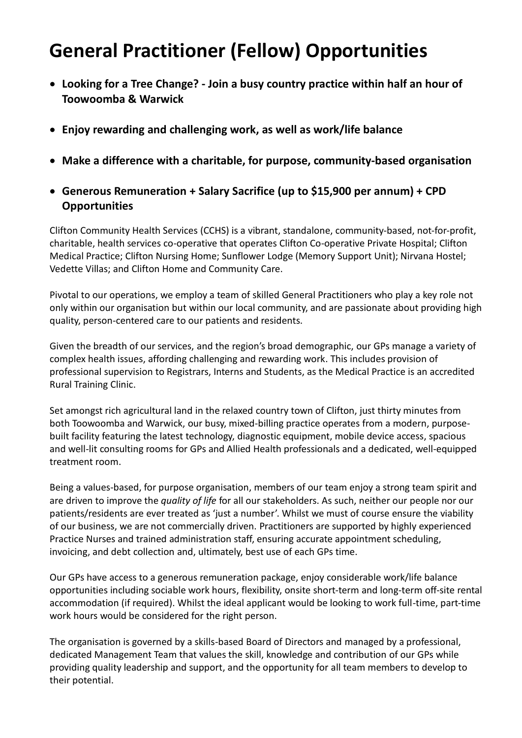## **General Practitioner (Fellow) Opportunities**

- **Looking for a Tree Change? - Join a busy country practice within half an hour of Toowoomba & Warwick**
- **Enjoy rewarding and challenging work, as well as work/life balance**
- **Make a difference with a charitable, for purpose, community-based organisation**
- **Generous Remuneration + Salary Sacrifice (up to \$15,900 per annum) + CPD Opportunities**

Clifton Community Health Services (CCHS) is a vibrant, standalone, community-based, not-for-profit, charitable, health services co-operative that operates Clifton Co-operative Private Hospital; Clifton Medical Practice; Clifton Nursing Home; Sunflower Lodge (Memory Support Unit); Nirvana Hostel; Vedette Villas; and Clifton Home and Community Care.

Pivotal to our operations, we employ a team of skilled General Practitioners who play a key role not only within our organisation but within our local community, and are passionate about providing high quality, person-centered care to our patients and residents.

Given the breadth of our services, and the region's broad demographic, our GPs manage a variety of complex health issues, affording challenging and rewarding work. This includes provision of professional supervision to Registrars, Interns and Students, as the Medical Practice is an accredited Rural Training Clinic.

Set amongst rich agricultural land in the relaxed country town of Clifton, just thirty minutes from both Toowoomba and Warwick, our busy, mixed-billing practice operates from a modern, purposebuilt facility featuring the latest technology, diagnostic equipment, mobile device access, spacious and well-lit consulting rooms for GPs and Allied Health professionals and a dedicated, well-equipped treatment room.

Being a values-based, for purpose organisation, members of our team enjoy a strong team spirit and are driven to improve the *quality of life* for all our stakeholders. As such, neither our people nor our patients/residents are ever treated as 'just a number'. Whilst we must of course ensure the viability of our business, we are not commercially driven. Practitioners are supported by highly experienced Practice Nurses and trained administration staff, ensuring accurate appointment scheduling, invoicing, and debt collection and, ultimately, best use of each GPs time.

Our GPs have access to a generous remuneration package, enjoy considerable work/life balance opportunities including sociable work hours, flexibility, onsite short-term and long-term off-site rental accommodation (if required). Whilst the ideal applicant would be looking to work full-time, part-time work hours would be considered for the right person.

The organisation is governed by a skills-based Board of Directors and managed by a professional, dedicated Management Team that values the skill, knowledge and contribution of our GPs while providing quality leadership and support, and the opportunity for all team members to develop to their potential.